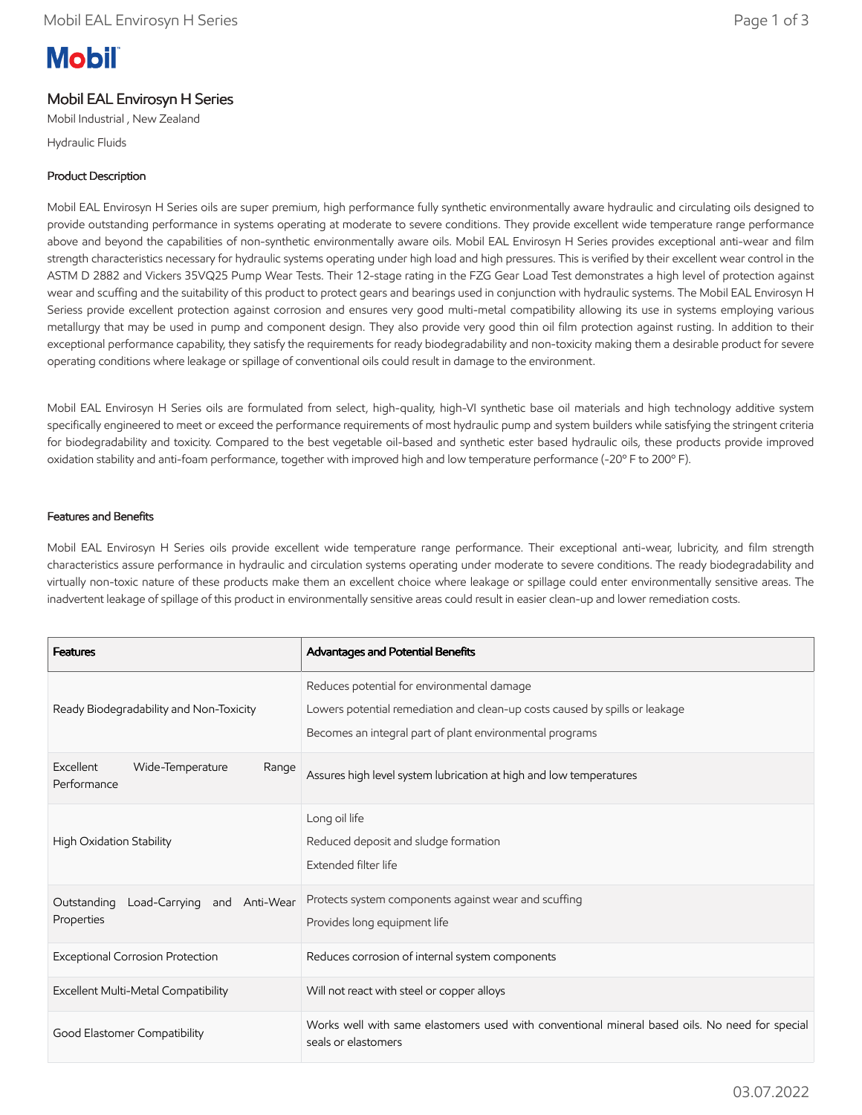# **Mobil**

# Mobil EAL Envirosyn H Series

Mobil Industrial , New Zealand

Hydraulic Fluids

### Product Description

Mobil EAL Envirosyn H Series oils are super premium, high performance fully synthetic environmentally aware hydraulic and circulating oils designed to provide outstanding performance in systems operating at moderate to severe conditions. They provide excellent wide temperature range performance above and beyond the capabilities of non-synthetic environmentally aware oils. Mobil EAL Envirosyn H Series provides exceptional anti-wear and film strength characteristics necessary for hydraulic systems operating under high load and high pressures. This is verified by their excellent wear control in the ASTM D 2882 and Vickers 35VQ25 Pump Wear Tests. Their 12-stage rating in the FZG Gear Load Test demonstrates a high level of protection against wear and scuffing and the suitability of this product to protect gears and bearings used in conjunction with hydraulic systems. The Mobil EAL Envirosyn H Seriess provide excellent protection against corrosion and ensures very good multi-metal compatibility allowing its use in systems employing various metallurgy that may be used in pump and component design. They also provide very good thin oil film protection against rusting. In addition to their exceptional performance capability, they satisfy the requirements for ready biodegradability and non-toxicity making them a desirable product for severe operating conditions where leakage or spillage of conventional oils could result in damage to the environment.

Mobil EAL Envirosyn H Series oils are formulated from select, high-quality, high-VI synthetic base oil materials and high technology additive system specifically engineered to meet or exceed the performance requirements of most hydraulic pump and system builders while satisfying the stringent criteria for biodegradability and toxicity. Compared to the best vegetable oil-based and synthetic ester based hydraulic oils, these products provide improved oxidation stability and anti-foam performance, together with improved high and low temperature performance (-20º F to 200º F).

#### Features and Benefits

Mobil EAL Envirosyn H Series oils provide excellent wide temperature range performance. Their exceptional anti-wear, lubricity, and film strength characteristics assure performance in hydraulic and circulation systems operating under moderate to severe conditions. The ready biodegradability and virtually non-toxic nature of these products make them an excellent choice where leakage or spillage could enter environmentally sensitive areas. The inadvertent leakage of spillage of this product in environmentally sensitive areas could result in easier clean-up and lower remediation costs.

| <b>Features</b>                                          | Advantages and Potential Benefits                                                                                                                                                     |
|----------------------------------------------------------|---------------------------------------------------------------------------------------------------------------------------------------------------------------------------------------|
| Ready Biodegradability and Non-Toxicity                  | Reduces potential for environmental damage<br>Lowers potential remediation and clean-up costs caused by spills or leakage<br>Becomes an integral part of plant environmental programs |
| Excellent<br>Wide-Temperature<br>Range<br>Performance    | Assures high level system lubrication at high and low temperatures                                                                                                                    |
| High Oxidation Stability                                 | Long oil life<br>Reduced deposit and sludge formation<br>Extended filter life                                                                                                         |
| Load-Carrying and Anti-Wear<br>Outstanding<br>Properties | Protects system components against wear and scuffing<br>Provides long equipment life                                                                                                  |
| Exceptional Corrosion Protection                         | Reduces corrosion of internal system components                                                                                                                                       |
| Excellent Multi-Metal Compatibility                      | Will not react with steel or copper alloys                                                                                                                                            |
| Good Elastomer Compatibility                             | Works well with same elastomers used with conventional mineral based oils. No need for special<br>seals or elastomers                                                                 |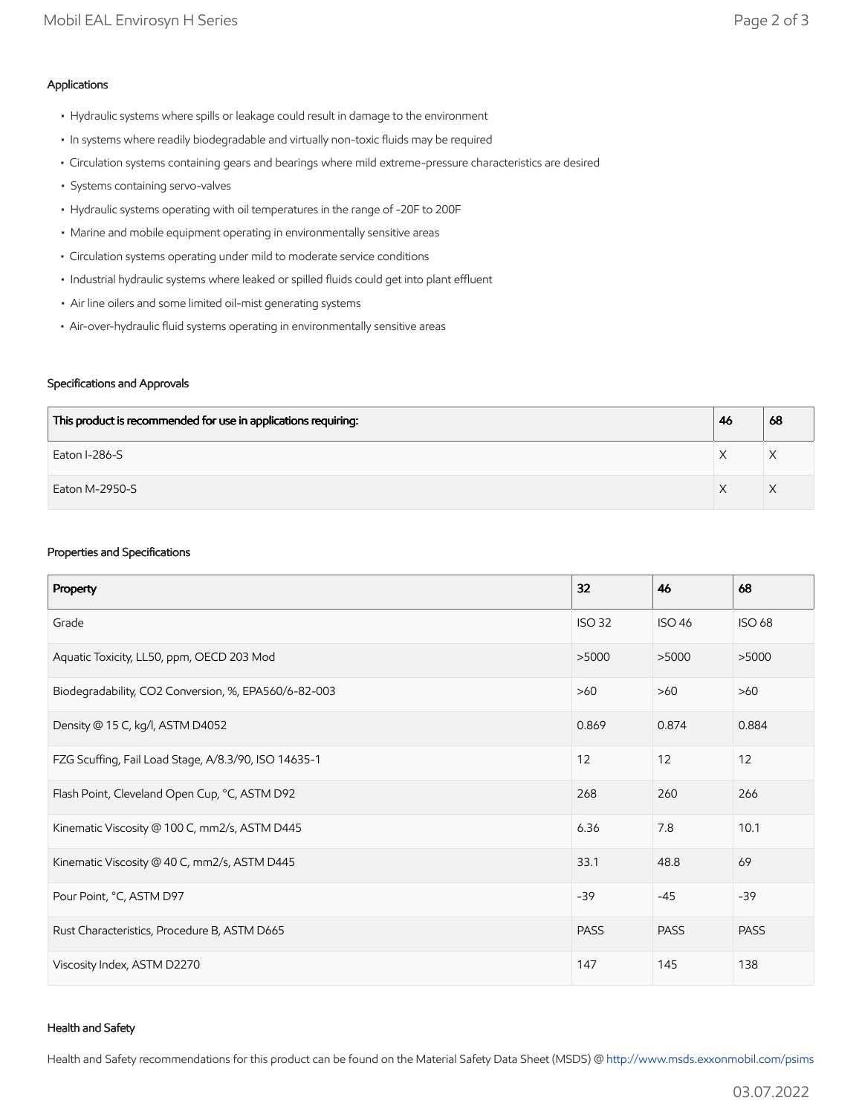# Applications

- Hydraulic systems where spills or leakage could result in damage to the environment
- In systems where readily biodegradable and virtually non-toxic fluids may be required
- Circulation systems containing gears and bearings where mild extreme-pressure characteristics are desired
- Systems containing servo-valves
- Hydraulic systems operating with oil temperatures in the range of -20F to 200F
- Marine and mobile equipment operating in environmentally sensitive areas
- Circulation systems operating under mild to moderate service conditions
- Industrial hydraulic systems where leaked or spilled fluids could get into plant effluent
- Air line oilers and some limited oil-mist generating systems
- Air-over-hydraulic fluid systems operating in environmentally sensitive areas

# Specifications and Approvals

| This product is recommended for use in applications requiring: |  | 68       |
|----------------------------------------------------------------|--|----------|
| Eaton I-286-S                                                  |  |          |
| Eaton M-2950-S                                                 |  | $\times$ |

#### Properties and Specifications

| Property                                             | 32            | 46            | 68            |
|------------------------------------------------------|---------------|---------------|---------------|
| Grade                                                | <b>ISO 32</b> | <b>ISO 46</b> | <b>ISO 68</b> |
| Aquatic Toxicity, LL50, ppm, OECD 203 Mod            | >5000         | >5000         | >5000         |
| Biodegradability, CO2 Conversion, %, EPA560/6-82-003 | $>60$         | $>60$         | $>60$         |
| Density @ 15 C, kg/l, ASTM D4052                     | 0.869         | 0.874         | 0.884         |
| FZG Scuffing, Fail Load Stage, A/8.3/90, ISO 14635-1 | 12            | 12            | 12            |
| Flash Point, Cleveland Open Cup, °C, ASTM D92        | 268           | 260           | 266           |
| Kinematic Viscosity @ 100 C, mm2/s, ASTM D445        | 6.36          | 7.8           | 10.1          |
| Kinematic Viscosity @ 40 C, mm2/s, ASTM D445         | 33.1          | 48.8          | 69            |
| Pour Point, °C, ASTM D97                             | $-39$         | $-45$         | $-39$         |
| Rust Characteristics, Procedure B, ASTM D665         | <b>PASS</b>   | <b>PASS</b>   | <b>PASS</b>   |
| Viscosity Index, ASTM D2270                          | 147           | 145           | 138           |

#### Health and Safety

Health and Safety recommendations for this product can be found on the Material Safety Data Sheet (MSDS) @ [http://www.msds.exxonmobil.com/psims](http://www.msds.exxonmobil.com/psims/psims.aspx)